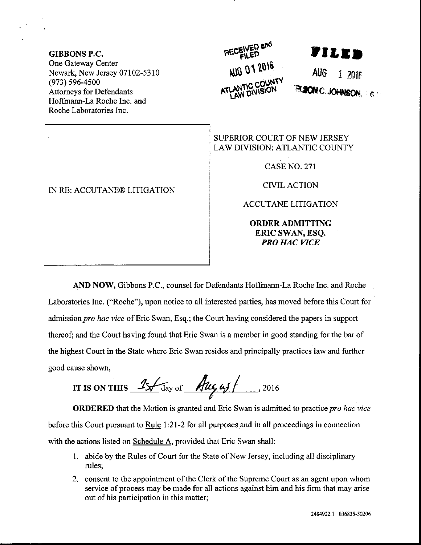GIBBONS P.C. One Gateway Center Newark, New Jersey 07102-5310 (973) s96-4s00 Attomeys for Defendants Hoffinann-La Roche Inc. and Roche Laboratories Inc.

## IN RE: ACCUTANE@ LITIGATION

## AUG 01 2016  $\Gamma$ BAA.  $\Gamma$

-Etrc J**ohnson**, J.B.C

SUPERIOR COURT OF NEW JERSEY LAW DIVISION: ATLANTIC COUNTY

CASE NO. 271

CIVIL ACTION

ACCUTANE LITIGATION

ORDERADMITTING ERIC SWAN, ESQ. PRO HAC VICE

AND NOW, Gibbons P.C., counsel for Defendants Hoffmann-La Roche Inc. and Roche Laboratories Inc. ("Roche"), upon notice to all interested parties, has moved before this Court for admission pro hac vice of Eric Swan, Esq.; the Court having considered the papers in support thereof; and the Court having found that Eric Swan is a member in good standing for the bar of the highest Court in the State where Eric Swan resides aad principally practices law ard further good cause shown,

rrrs oNrHrs !#-\*, \* -L4gl-,zore

**ORDERED** that the Motion is granted and Eric Swan is admitted to practice pro hac vice before this Court pursuant to Rule 1:21-2 for all purposes and in all proceedings in connection with the actions listed on Schedule A, provided that Eric Swan shall:

- <sup>I</sup>. abide by the Rules of Court for the State of New Jersey, including all disciplinary rules;
- 2. consent to the appointment of the Clerk of the Supreme Court as an agent upon whom service of process may be made for all actions against him and his firm that may arise out of his participation in this matter;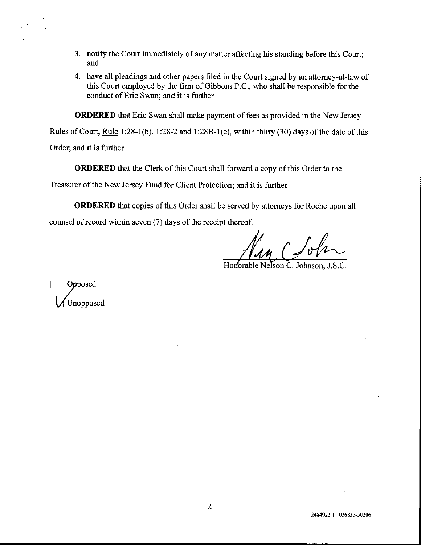- 3. notify the Court immediately of any matter affecting his standing before this Court; and
- 4. have all pleadings and other papers filed in the Court signed by an attorney-at-law of this Court employed by the firm of Gibbons P.C., who shall be responsible for the conduct of Eric Swan; and it is further

ORDERED that Eric Swan shall make payment of fees as provided in the New Jersey

Rules of Court, Rule l:28-1(b), 1:28-2 ard 1:288-1(e), within thirty (30) days of the date of this

Order; and it is further

ORDERED that the Clerk of this Court shall forward a copy of this Order to the

Treasurer of the New Jersey Fund for Client Protection; and it is further

ORDERED that copies of this Order shall be served by attomeys for Roche upon all counsel of record within seven (7) days of the receipt thereof.

Honorable Nelson C. Johnson, J.S.C.

] Opposed I Unopposed